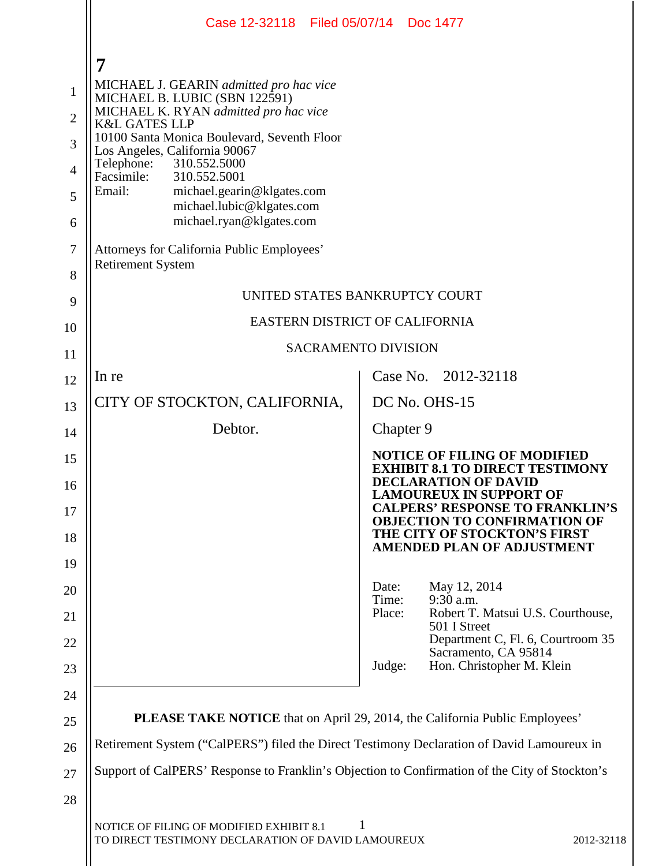|                | Case 12-32118 Filed 05/07/14 Doc 1477                                                                                                             |                 |                                                                                                               |  |  |  |
|----------------|---------------------------------------------------------------------------------------------------------------------------------------------------|-----------------|---------------------------------------------------------------------------------------------------------------|--|--|--|
|                | 7                                                                                                                                                 |                 |                                                                                                               |  |  |  |
| $\mathbf{1}$   | MICHAEL J. GEARIN admitted pro hac vice<br>MICHAEL B. LUBIC (SBN 122591)                                                                          |                 |                                                                                                               |  |  |  |
| $\overline{2}$ | MICHAEL K. RYAN admitted pro hac vice<br><b>K&amp;L GATES LLP</b><br>10100 Santa Monica Boulevard, Seventh Floor<br>Los Angeles, California 90067 |                 |                                                                                                               |  |  |  |
| 3              |                                                                                                                                                   |                 |                                                                                                               |  |  |  |
| $\overline{4}$ | 310.552.5000<br>Telephone:<br>Facsimile:<br>310.552.5001                                                                                          |                 |                                                                                                               |  |  |  |
| 5              | Email:<br>michael.gearin@klgates.com                                                                                                              |                 |                                                                                                               |  |  |  |
| 6              | michael.lubic@klgates.com<br>michael.ryan@klgates.com                                                                                             |                 |                                                                                                               |  |  |  |
| $\tau$         | Attorneys for California Public Employees'<br><b>Retirement System</b>                                                                            |                 |                                                                                                               |  |  |  |
| 8              |                                                                                                                                                   |                 |                                                                                                               |  |  |  |
| 9              | UNITED STATES BANKRUPTCY COURT                                                                                                                    |                 |                                                                                                               |  |  |  |
| 10             | EASTERN DISTRICT OF CALIFORNIA                                                                                                                    |                 |                                                                                                               |  |  |  |
| 11             | <b>SACRAMENTO DIVISION</b>                                                                                                                        |                 |                                                                                                               |  |  |  |
| 12             | In re                                                                                                                                             |                 | Case No. 2012-32118                                                                                           |  |  |  |
| 13             | CITY OF STOCKTON, CALIFORNIA,                                                                                                                     |                 | DC No. OHS-15                                                                                                 |  |  |  |
| 14             | Debtor.                                                                                                                                           | Chapter 9       |                                                                                                               |  |  |  |
| 15             |                                                                                                                                                   |                 | <b>NOTICE OF FILING OF MODIFIED</b><br><b>EXHIBIT 8.1 TO DIRECT TESTIMONY</b>                                 |  |  |  |
| 16             |                                                                                                                                                   |                 | <b>DECLARATION OF DAVID</b><br><b>LAMOUREUX IN SUPPORT OF</b>                                                 |  |  |  |
| 17             |                                                                                                                                                   |                 | <b>CALPERS' RESPONSE TO FRANKLIN'S</b><br><b>OBJECTION TO CONFIRMATION OF</b><br>THE CITY OF STOCKTON'S FIRST |  |  |  |
| 18<br>19       |                                                                                                                                                   |                 | <b>AMENDED PLAN OF ADJUSTMENT</b>                                                                             |  |  |  |
| 20             |                                                                                                                                                   | Date:           | May 12, 2014                                                                                                  |  |  |  |
| 21             |                                                                                                                                                   | Time:<br>Place: | $9:30$ a.m.<br>Robert T. Matsui U.S. Courthouse,                                                              |  |  |  |
| 22             |                                                                                                                                                   |                 | 501 I Street<br>Department C, Fl. 6, Courtroom 35                                                             |  |  |  |
| 23             |                                                                                                                                                   | Judge:          | Sacramento, CA 95814<br>Hon. Christopher M. Klein                                                             |  |  |  |
| 24             |                                                                                                                                                   |                 |                                                                                                               |  |  |  |
| 25             | <b>PLEASE TAKE NOTICE</b> that on April 29, 2014, the California Public Employees'                                                                |                 |                                                                                                               |  |  |  |
| 26             | Retirement System ("CalPERS") filed the Direct Testimony Declaration of David Lamoureux in                                                        |                 |                                                                                                               |  |  |  |
| 27             | Support of CalPERS' Response to Franklin's Objection to Confirmation of the City of Stockton's                                                    |                 |                                                                                                               |  |  |  |
| 28             |                                                                                                                                                   |                 |                                                                                                               |  |  |  |
|                | NOTICE OF FILING OF MODIFIED EXHIBIT 8.1<br>TO DIRECT TESTIMONY DECLARATION OF DAVID LAMOUREUX<br>2012-32118                                      |                 |                                                                                                               |  |  |  |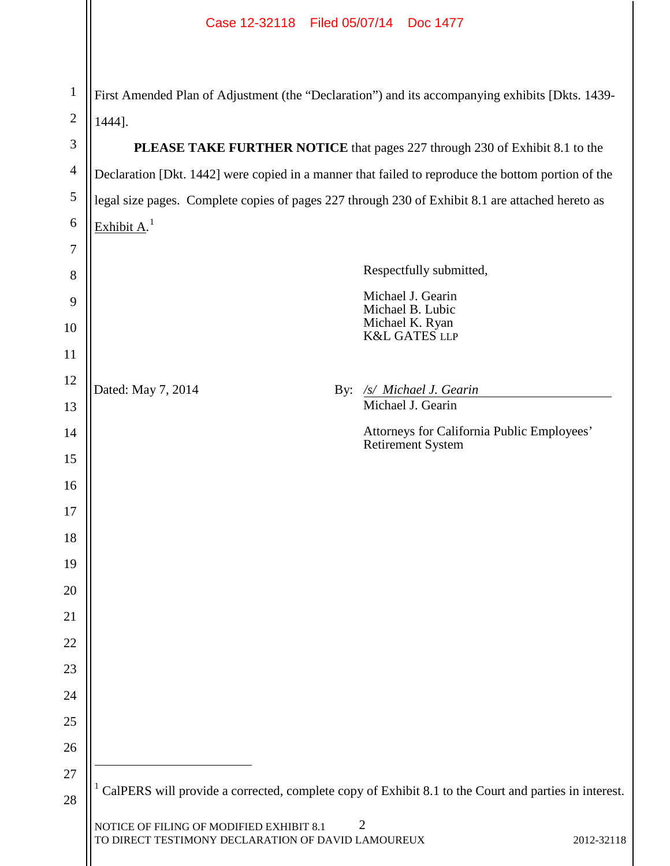# Case 12-32118 Filed 05/07/14 Doc 1477

| $\mathbf{1}$   | First Amended Plan of Adjustment (the "Declaration") and its accompanying exhibits [Dkts. 1439-                                                                                                                           |                |                                                                        |  |  |
|----------------|---------------------------------------------------------------------------------------------------------------------------------------------------------------------------------------------------------------------------|----------------|------------------------------------------------------------------------|--|--|
| $\overline{2}$ | 1444].                                                                                                                                                                                                                    |                |                                                                        |  |  |
| 3              | PLEASE TAKE FURTHER NOTICE that pages 227 through 230 of Exhibit 8.1 to the                                                                                                                                               |                |                                                                        |  |  |
| $\overline{4}$ | Declaration [Dkt. 1442] were copied in a manner that failed to reproduce the bottom portion of the                                                                                                                        |                |                                                                        |  |  |
| 5              | legal size pages. Complete copies of pages 227 through 230 of Exhibit 8.1 are attached hereto as                                                                                                                          |                |                                                                        |  |  |
| 6              | Exhibit $A1$                                                                                                                                                                                                              |                |                                                                        |  |  |
| 7              |                                                                                                                                                                                                                           |                |                                                                        |  |  |
| 8              |                                                                                                                                                                                                                           |                | Respectfully submitted,                                                |  |  |
| 9              |                                                                                                                                                                                                                           |                | Michael J. Gearin<br>Michael B. Lubic<br>Michael K. Ryan               |  |  |
| 10             |                                                                                                                                                                                                                           |                | <b>K&amp;L GATES LLP</b>                                               |  |  |
| 11             |                                                                                                                                                                                                                           |                |                                                                        |  |  |
| 12             | Dated: May 7, 2014                                                                                                                                                                                                        | $\mathbf{By:}$ | /s/ Michael J. Gearin                                                  |  |  |
| 13             |                                                                                                                                                                                                                           |                | Michael J. Gearin                                                      |  |  |
| 14             |                                                                                                                                                                                                                           |                | Attorneys for California Public Employees'<br><b>Retirement System</b> |  |  |
| 15             |                                                                                                                                                                                                                           |                |                                                                        |  |  |
| 16             |                                                                                                                                                                                                                           |                |                                                                        |  |  |
| 17             |                                                                                                                                                                                                                           |                |                                                                        |  |  |
| 18             |                                                                                                                                                                                                                           |                |                                                                        |  |  |
| 19<br>20       |                                                                                                                                                                                                                           |                |                                                                        |  |  |
| 21             |                                                                                                                                                                                                                           |                |                                                                        |  |  |
| 22             |                                                                                                                                                                                                                           |                |                                                                        |  |  |
| 23             |                                                                                                                                                                                                                           |                |                                                                        |  |  |
| 24             |                                                                                                                                                                                                                           |                |                                                                        |  |  |
| 25             |                                                                                                                                                                                                                           |                |                                                                        |  |  |
| 26             |                                                                                                                                                                                                                           |                |                                                                        |  |  |
| 27             |                                                                                                                                                                                                                           |                |                                                                        |  |  |
| 28             | CalPERS will provide a corrected, complete copy of Exhibit 8.1 to the Court and parties in interest.<br>2<br>NOTICE OF FILING OF MODIFIED EXHIBIT 8.1<br>TO DIRECT TESTIMONY DECLARATION OF DAVID LAMOUREUX<br>2012-32118 |                |                                                                        |  |  |
|                |                                                                                                                                                                                                                           |                |                                                                        |  |  |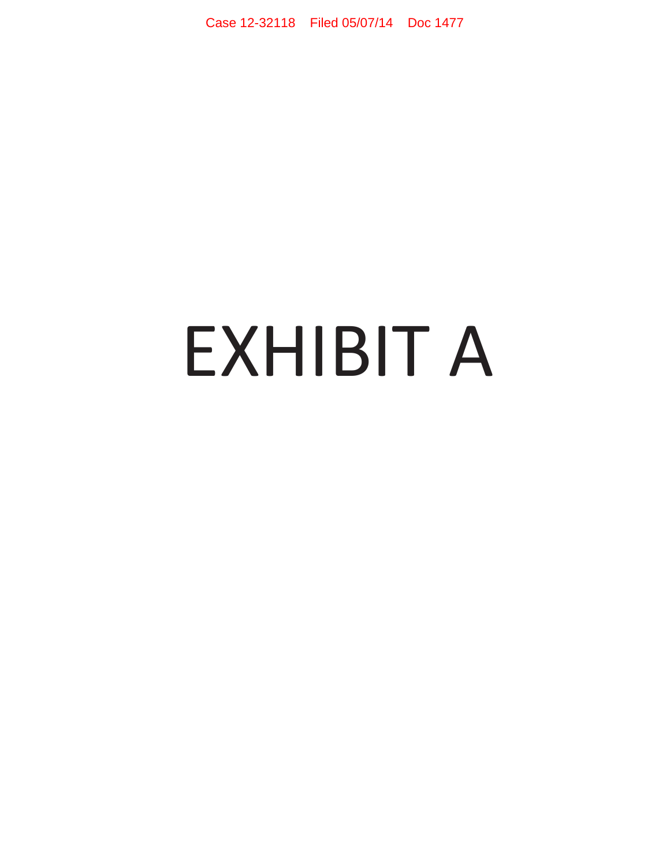Case 12-32118 Filed 05/07/14 Doc 1477

# EXHIBIT A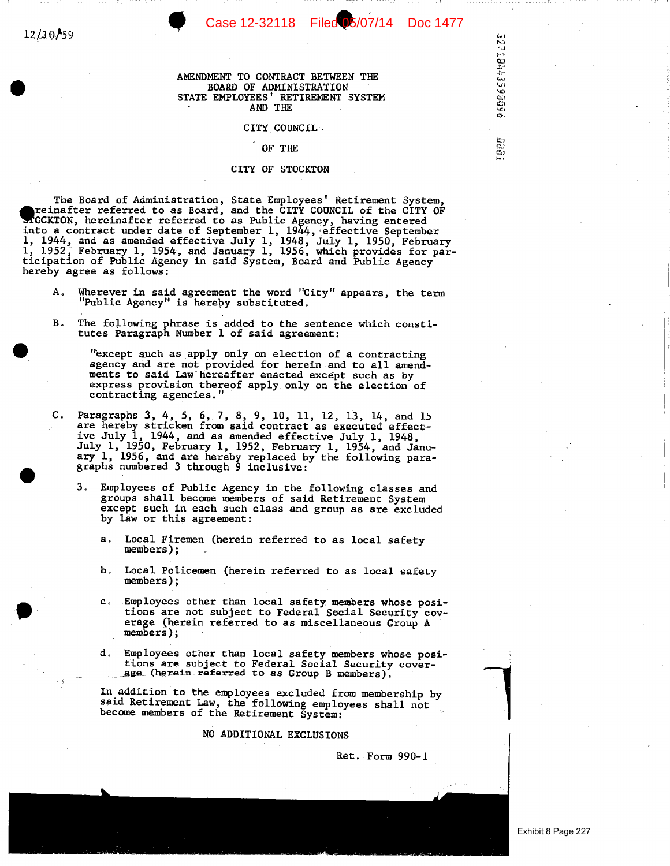32710443590666

**Lang** 

## AMENDMENT TO CONTRACT BETWEEN THE BOARD OF ADMINISTRATION<br>STATE EMPLOYEES' RETIREMENT SYSTEM AND THE

### CITY COUNCIL

### OF THE

### CITY OF STOCKTON

The Board of Administration, State Employees' Retirement System, reinafter referred to as Board, and the CITY COUNCIL of the CITY OF MOCKTON, hereinafter referred to as board, and the CIII COUNCIL OF the CIII OF<br>MOCKTON, hereinafter referred to as Public Agency, having entered<br>into a contract under date of September 1, 1944, effective September<br>1, 1944, hereby agree as follows:

- Wherever in said agreement the word "City" appears, the term А. "Public Agency" is hereby substituted.
- The following phrase is added to the sentence which constitutes Paragraph Number 1 of said agreement: В.

"except such as apply only on election of a contracting agency and are not provided for herein and to all amendments to said Law hereafter enacted except such as by express provision thereof apply only on the election of contracting agencies."

- Paragraphs 3, 4, 5, 6, 7, 8, 9, 10, 11, 12, 13, 14, and 15<br>are hereby stricken from said contract as executed effect-С. ive July 1, 1944, and as amended effective July 1, 1948, July 1, 1950, February 1, 1952, February 1, 1954, and January 1, 1956, and are hereby replaced by the following paragraphs numbered 3 through 9 inclusive:
	- 3. Employees of Public Agency in the following classes and groups shall become members of said Retirement System except such in each such class and group as are excluded by law or this agreement:
		- $\ddot{\mathbf{a}}$ . Local Firemen (herein referred to as local safety members);
		- Local Policemen (herein referred to as local safety Ъ. members);
		- Employees other than local safety members whose posi $c<sub>1</sub>$ tions are not subject to Federal Social Security coverage (herein referred to as miscellaneous Group A members);
		- d. Employees other than local safety members whose positions are subject to Federal Social Security coverage (herein referred to as Group B members).

In addition to the employees excluded from membership by said Retirement Law, the following employees shall not become members of the Retirement System:

NO ADDITIONAL EXCLUSIONS

Ret. Form 990-1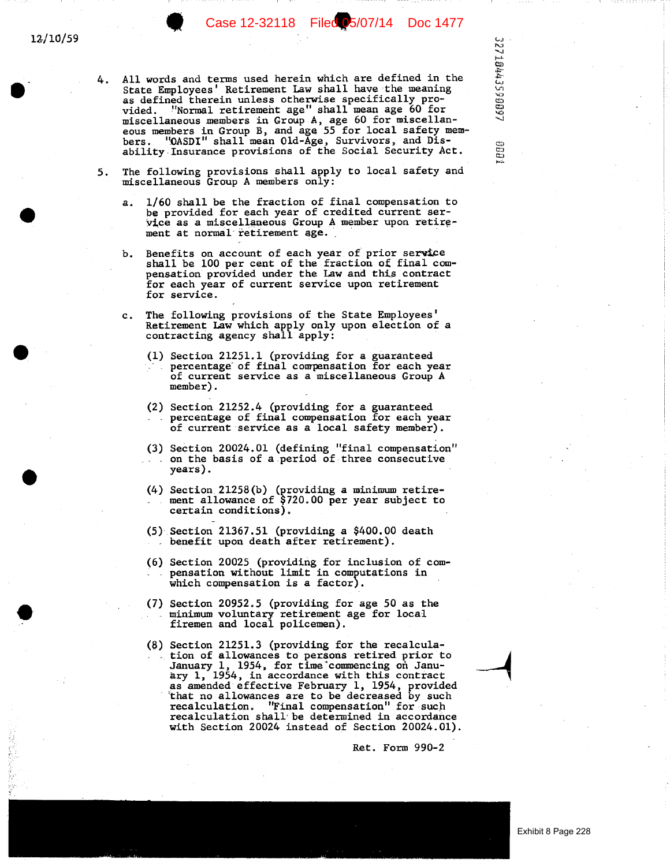All words and terms used herein which are defined in the 4. State Employees' Retirement Law shall have the meaning as defined therein unless otherwise specifically pro-<br>vided. "Normal retirement age" shall mean age 60 for miscellaneous members in Group A, age 60 for miscellaneous members in Group B, and age 55 for local safety members. "OASDI" shall mean Old-Age, Survivors, and Disability Insurance provisions of the Social Security Act.

Case 12-32118 Filed 05/07/14 Doc 1477

32710443590997

aga

- The following provisions shall apply to local safety and 5. miscellaneous Group A members only:
	- 1/60 shall be the fraction of final compensation to  $a<sub>x</sub>$ be provided for each year of credited current service as a miscellaneous Group A member upon retirement at normal retirement age.
	- Benefits on account of each year of prior service Ъ. shall be 100 per cent of the fraction of final compensation provided under the Law and this contract for each year of current service upon retirement for service.
	- The following provisions of the State Employees'  $c_{\rm}$ . Retirement Law which apply only upon election of a contracting agency shall apply:
		- (1) Section 21251.1 (providing for a guaranteed percentage of final compensation for each year of current service as a miscellaneous Group A member).
		- (2) Section 21252.4 (providing for a guaranteed percentage of final compensation for each year of current service as a local safety member).
		- (3) Section 20024.01 (defining "final compensation" on the basis of a period of three consecutive years).
		- (4) Section 21258(b) (providing a minimum retire-<br>ment allowance of \$720.00 per year subject to certain conditions).
		- $(5)$  Section 21367.51 (providing a \$400.00 death benefit upon death after retirement).
		- (6) Section 20025 (providing for inclusion of compensation without limit in computations in which compensation is a factor).
		- (7) Section 20952.5 (providing for age 50 as the minimum voluntary retirement age for local<br>firemen and local policemen).
		- (8) Section 21251.3 (providing for the recalculation of allowances to persons retired prior to January 1, 1954, for time commencing on January 1, 1954, in accordance with this contract as amended effective February 1, 1954, provided<br>that no allowances are to be decreased by such recalculation. "Final compensation" for such recalculation shall be determined in accordance<br>with Section 20024 instead of Section 20024.01).

Ret. Form 990-2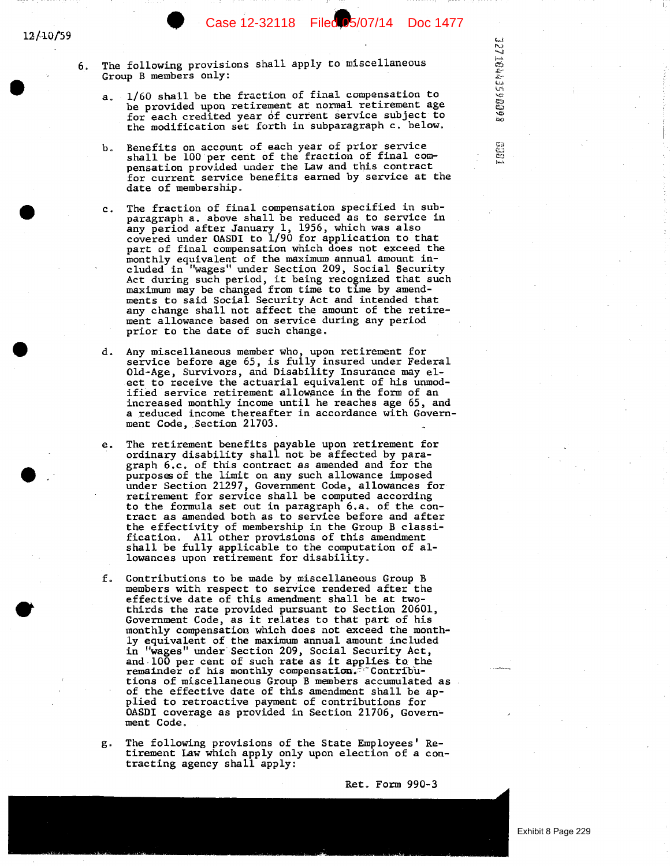Case 12-32118 Filed 05/07/14 Doc 1477

**327 10443590088** 

EOCH

The following provisions shall apply to miscellaneous 6. Group B members only:

12/10/59

- 1/60 shall be the fraction of final compensation to a. be provided upon retirement at normal retirement age for each credited year of current service subject to the modification set forth in subparagraph c. below.
- Benefits on account of each year of prior service b. shall be 100 per cent of the fraction of final com-<br>pensation provided under the Law and this contract for current service benefits earned by service at the date of membership.
- The fraction of final compensation specified in sub $c_{\perp}$ paragraph a. above shall be reduced as to service in any period after January 1, 1956, which was also<br>covered under OASDI to 1/90 for application to that part of final compensation which does not exceed the monthly equivalent of the maximum annual amount in-<br>cluded in "wages" under Section 209, Social Security Act during such period, it being recognized that such maximum may be changed from time to time by amendments to said Social Security Act and intended that any change shall not affect the amount of the retirement allowance based on service during any period prior to the date of such change.
- Any miscellaneous member who, upon retirement for<br>service before age 65, is fully insured under Federal Old-Age, Survivors, and Disability Insurance may elect to receive the actuarial equivalent of his unmodified service retirement allowance in the form of an increased monthly income until he reaches age 65, and a reduced income thereafter in accordance with Government Code, Section 21703.
- The retirement benefits payable upon retirement for e. ordinary disability shall not be affected by paragraph 6.c. of this contract as amended and for the purposes of the limit on any such allowance imposed under Section 21297, Government Code, allowances for retirement for service shall be computed according to the formula set out in paragraph 6.a. of the contract as amended both as to service before and after the effectivity of membership in the Group B classification. All other provisions of this amendment<br>shall be fully applicable to the computation of allowances upon retirement for disability.
- f. Contributions to be made by miscellaneous Group B members with respect to service rendered after the effective date of this amendment shall be at twothirds the rate provided pursuant to Section 20601, Government Code, as it relates to that part of his monthly compensation which does not exceed the monthly equivalent of the maximum annual amount included<br>in "wages" under Section 209, Social Security Act, and 100 per cent of such rate as it applies to the remainder of his monthly compensation.<sup>7</sup> Contributions of miscellaneous Group B members accumulated as of the effective date of this amendment shall be applied to retroactive payment of contributions for OASDI coverage as provided in Section 21706, Government Code.
- The following provisions of the State Employees' Reg. tirement Law which apply only upon election of a contracting agency shall apply:

Ret. Form 990-3